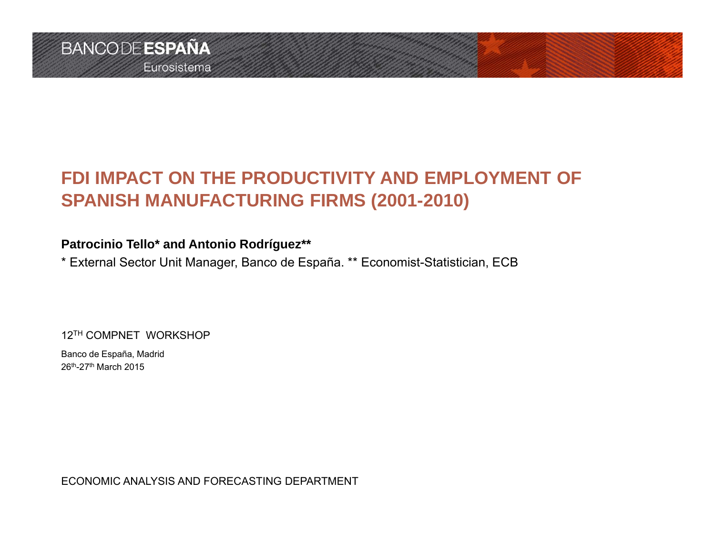## **FDI IMPACT ON THE PRODUCTIVITY AND EMPLOYMENT OF SPANISH MANUFACTURING FIRMS (2001-2010)**

#### **Patrocinio Tello\* and Antonio Rodríguez\*\***

\* External Sector Unit Manager, Banco de España. \*\* Economist-Statistician, ECB

12TH COMPNET WORKSHOP

Banco de España, Madrid 26th-27th March 2015

ECONOMIC ANALYSIS AND FORECASTING DEPARTMENT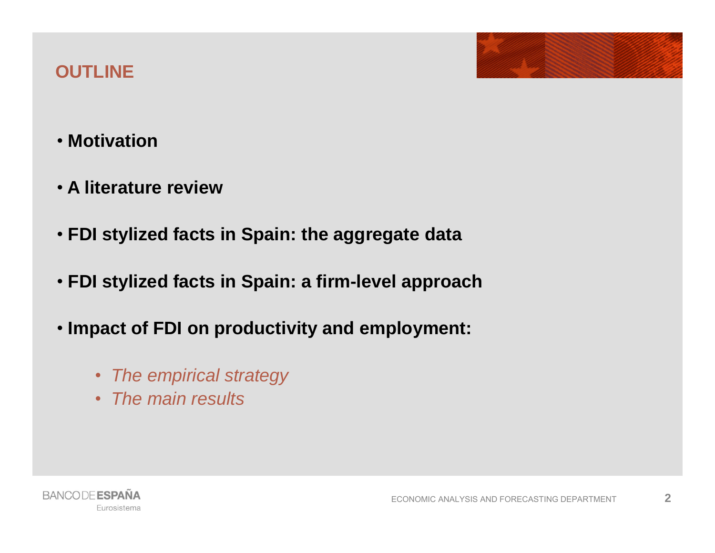### **OUTLINE**

- **Motivation**
- **A literature review**
- **FDI stylized facts in Spain: the aggregate data**
- **FDI stylized facts in Spain: a firm-level approach**
- **Impact of FDI on productivity and employment:**
	- *The empirical strategy*
	- *The main results*

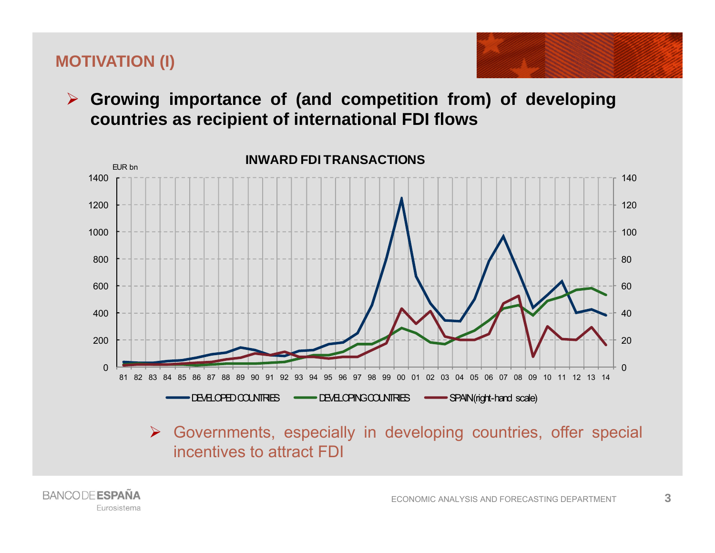#### **MOTIVATION (I)**

**BANCODE ESPAÑA** 

Eurosistema



 **Growing importance of (and competition from) of developing countries as recipient of international FDI flows**



incentives to attract FDI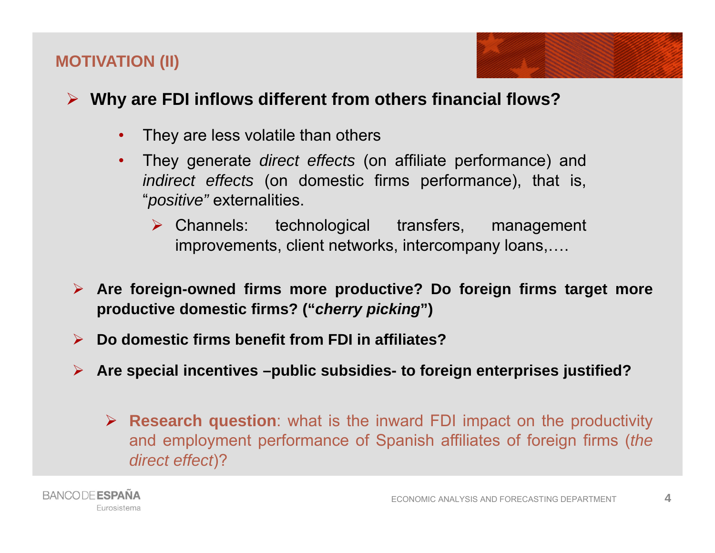#### **MOTIVATION (II)**

### **Why are FDI inflows different from others financial flows?**

- •They are less volatile than others
- • They generate *direct effects* (on affiliate performance) and *indirect effects* (on domestic firms performance), that is, "*positive"* externalities.
	- $\triangleright$  Channels: technological transfers, management improvements, client networks, intercompany loans,….
- **Are foreign-owned firms more productive? Do foreign firms target more productive domestic firms? ("***cherry picking***")**
- $\blacktriangleright$ **Do domestic firms benefit from FDI in affiliates?**
- **Are special incentives –public subsidies- to foreign enterprises justified?**
	- **Research question**: what is the inward FDI impact on the productivity and employment performance of Spanish affiliates of foreign firms (*the direct effect*)?

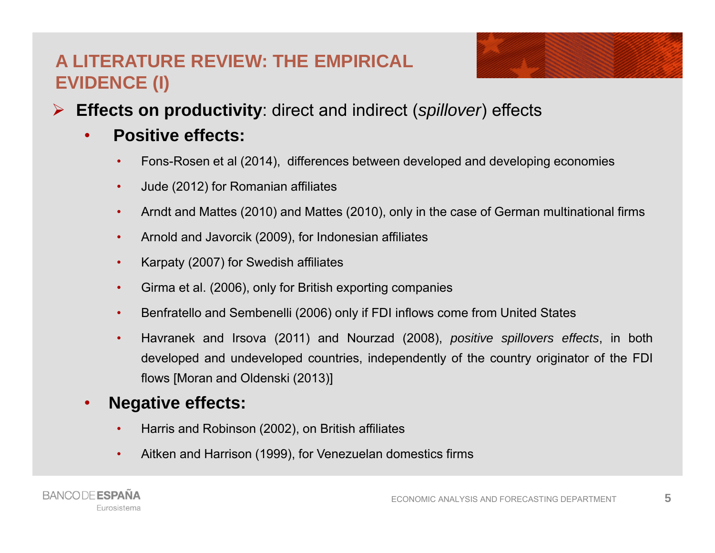### **A LITERATURE REVIEW: THE EMPIRICALEVIDENCE (I)**



- $\blacktriangleright$  **Effects on productivity**: direct and indirect (*spillover*) effects
	- • **Positive effects:**
		- •Fons-Rosen et al (2014), differences between developed and developing economies
		- •Jude (2012) for Romanian affiliates
		- $\bullet$ Arndt and Mattes (2010) and Mattes (2010), only in the case of German multinational firms
		- •Arnold and Javorcik (2009), for Indonesian affiliates
		- •Karpaty (2007) for Swedish affiliates
		- •Girma et al. (2006), only for British exporting companies
		- •Benfratello and Sembenelli (2006) only if FDI inflows come from United States
		- • Havranek and Irsova (2011) and Nourzad (2008), *positive spillovers effects*, in both developed and undeveloped countries, independently of the country originator of the FDI flows [Moran and Oldenski (2013)]

#### •**Negative effects:**

- •Harris and Robinson (2002), on British affiliates
- •Aitken and Harrison (1999), for Venezuelan domestics firms

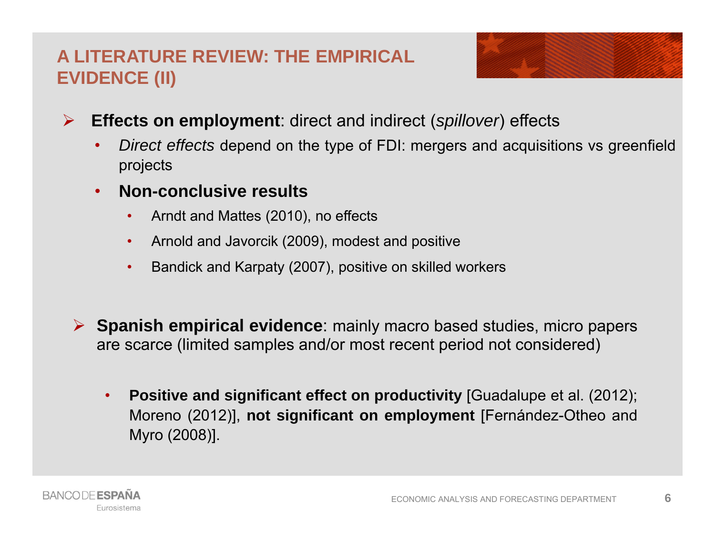### **A LITERATURE REVIEW: THE EMPIRICALEVIDENCE (II)**



- $\blacktriangleright$  **Effects on employment**: direct and indirect (*spillover*) effects
	- • *Direct effects* depend on the type of FDI: mergers and acquisitions vs greenfield projects
	- • **Non-conclusive results**
		- $\bullet$ Arndt and Mattes (2010), no effects
		- Arnold and Javorcik (2009), modest and positive
		- •Bandick and Karpaty (2007), positive on skilled workers
	- **Spanish empirical evidence**: mainly macro based studies, micro papers are scarce (limited samples and/or most recent period not considered)
		- • **Positive and significant effect on productivity** [Guadalupe et al. (2012); Moreno (2012)], **not significant on employment** [Fernández-Otheo and Myro (2008)].

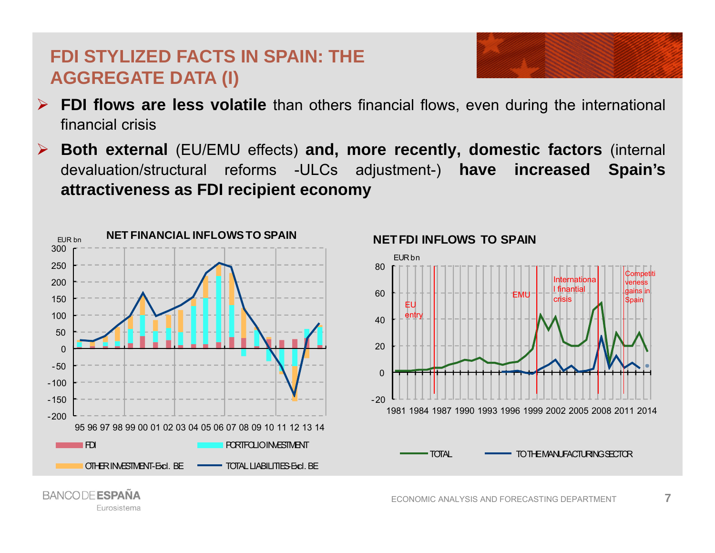### **FDI STYLIZED FACTS IN SPAIN: THEAGGREGATE DATA (I)**

- $\blacktriangleright$  **FDI flows are less volatile** than others financial flows, even during the international financial crisis
- $\blacktriangleright$  **Both external** (EU/EMU effects) **and, more recently, domestic factors** (internal devaluation/structural reforms -ULCs adjustment-) **have increased Spain's attractiveness as FDI recipient economy**



Eurosistema



#### **NET FDI INFLOWS TO SPAIN**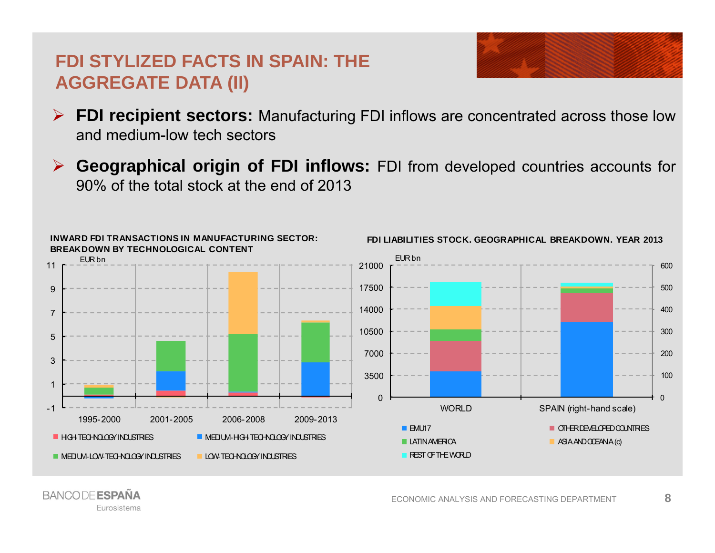### **FDI STYLIZED FACTS IN SPAIN: THEAGGREGATE DATA (II)**



- $\blacktriangleright$ **FDI recipient sectors:** Manufacturing FDI inflows are concentrated across those low and medium-low tech sectors
- $\blacktriangleright$  **Geographical origin of FDI inflows:** FDI from developed countries accounts for 90% of the total stock at the end of 2013



**BANCODE ESPAÑA** Eurosistema

ECONOMIC ANALYSIS AND FORECASTING DEPARTMENT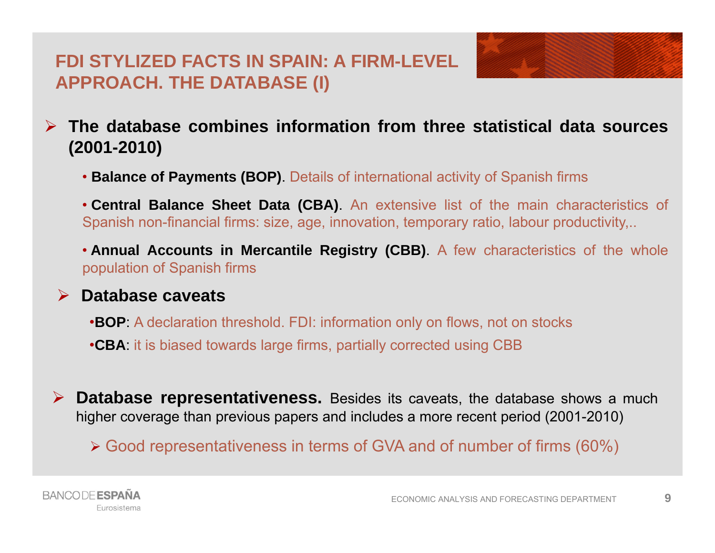### **FDI STYLIZED FACTS IN SPAIN: A FIRM-LEVELAPPROACH. THE DATABASE (I)**



• **Balance of Payments (BOP)**. Details of international activity of Spanish firms

• **Central Balance Sheet Data (CBA)**. An extensive list of the main characteristics of Spanish non-financial firms: size, age, innovation, temporary ratio, labour productivity,..

• **Annual Accounts in Mercantile Registry (CBB)**. A few characteristics of the whole population of Spanish firms

#### **Database caveats**

•**BOP**: A declaration threshold. FDI: information only on flows, not on stocks

•**CBA**: it is biased towards large firms, partially corrected using CBB

 **Database representativeness.** Besides its caveats, the database shows <sup>a</sup> much higher coverage than previous papers and includes <sup>a</sup> more recent period (2001-2010)

Good representativeness in terms of GVA and of number of firms (60%)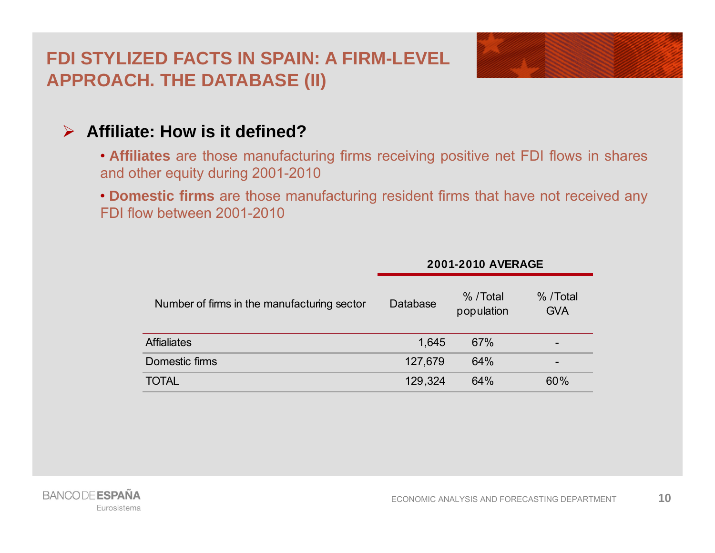### **FDI STYLIZED FACTS IN SPAIN: A FIRM-LEVELAPPROACH. THE DATABASE (II)**



### **Affiliate: How is it defined?**

- **Affiliates** are those manufacturing firms receiving positive net FDI flows in shares and other equity during 2001-2010
- **Domestic firms** are those manufacturing resident firms that have not received any FDI flow between 2001-2010

|                                             | <b>2001-2010 AVERAGE</b> |                         |                          |  |  |
|---------------------------------------------|--------------------------|-------------------------|--------------------------|--|--|
| Number of firms in the manufacturing sector | Database                 | % / Total<br>population | % / Total<br><b>GVA</b>  |  |  |
| <b>Affialiates</b>                          | 1,645                    | 67%                     | $\qquad \qquad$          |  |  |
| Domestic firms                              | 127,679                  | 64%                     | $\overline{\phantom{0}}$ |  |  |
| <b>TOTAL</b>                                | 129,324                  | 64%                     | 60%                      |  |  |

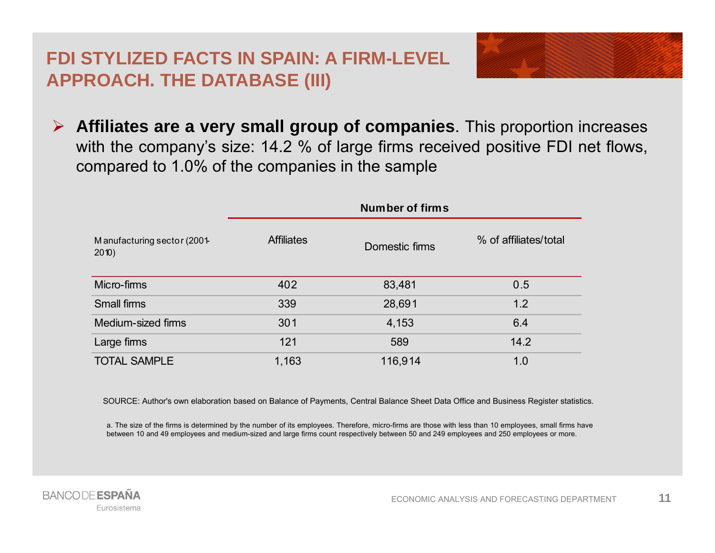### **FDI STYLIZED FACTS IN SPAIN: A FIRM-LEVELAPPROACH. THE DATABASE (III)**



 **Affiliates are <sup>a</sup> very small group of companies**. This proportion increases with the company's size: 14.2 % of large firms received positive FDI net flows, compared to 1.0% of the companies in the sample

|                                      | Number of firms   |                |                       |  |
|--------------------------------------|-------------------|----------------|-----------------------|--|
| Manufacturing sector (2001-<br>2010) | <b>Affiliates</b> | Domestic firms | % of affiliates/total |  |
| Micro-firms                          | 402               | 83,481         | 0.5                   |  |
| Small firms                          | 339               | 28,691         | 1.2                   |  |
| Medium-sized firms                   | 301               | 4,153          | 6.4                   |  |
| Large firms                          | 121               | 589            | 14.2                  |  |
| <b>TOTAL SAMPLE</b>                  | 1,163             | 116,914        | 1.0                   |  |

SOURCE: Author's own elaboration based on Balance of Payments, Central Balance Sheet Data Office and Business Register statistics.

a. The size of the firms is determined by the number of its employees. Therefore, micro-firms are those with less than 10 employees, small firms have between 10 and 49 employees and medium-sized and large firms count respectively between 50 and 249 employees and 250 employees or more.

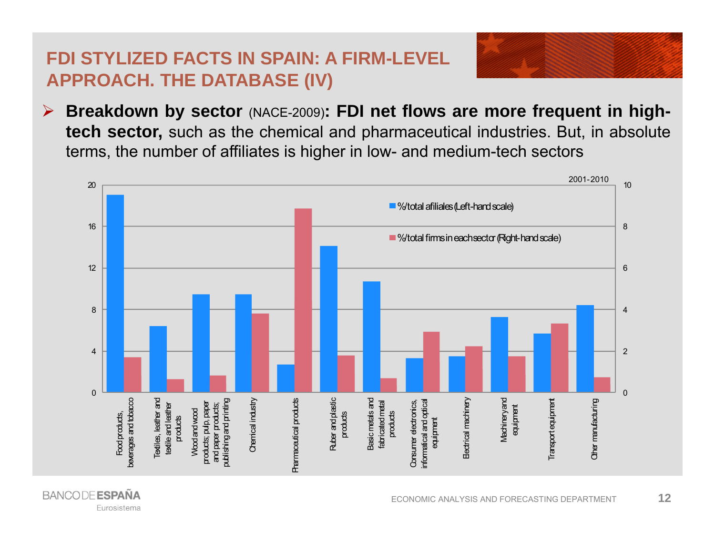### **FDI STYLIZED FACTS IN SPAIN: A FIRM-LEVELAPPROACH. THE DATABASE (IV)**

 $\blacktriangleright$ Breakdown by sector (NACE-2009): FDI net flows are more frequent in high**tech sector,** such as the chemical and pharmaceutical industries. But, in absolute terms, the number of affiliates is higher in low- and medium-tech sectors

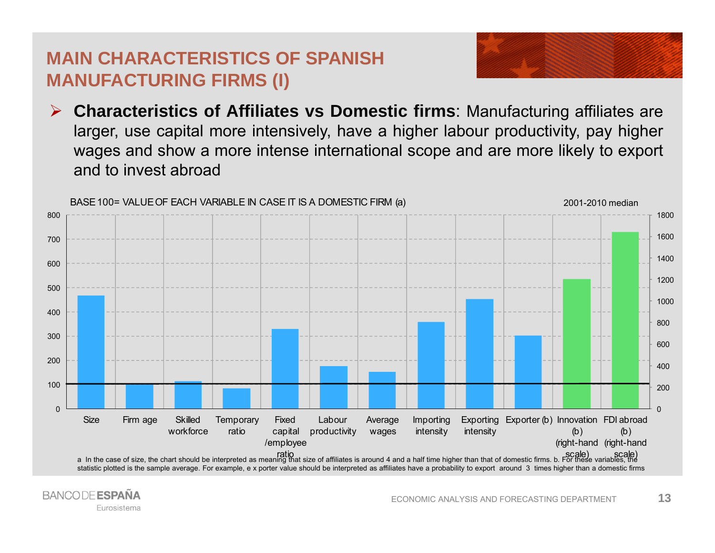### **MAIN CHARACTERISTICS OF SPANISHMANUFACTURING FIRMS (I)**



 $\blacktriangleright$  **Characteristics of Affiliates vs Domestic firms**: Manufacturing affiliates are larger, use capital more intensively, have <sup>a</sup> higher labour productivity, pay higher wages and show <sup>a</sup> more intense international scope and are more likely to export and to invest abroad

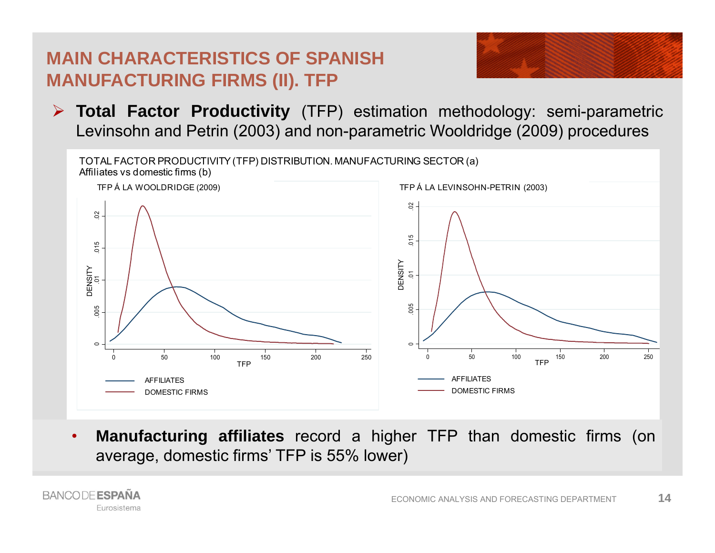### **MAIN CHARACTERISTICS OF SPANISHMANUFACTURING FIRMS (II). TFP**



 **Total Factor Productivity** (TFP) estimation methodology: semi-parametric Levinsohn and Petrin (2003) and non-parametric Wooldridge (2009) procedures



**• Manufacturing affiliates** record a higher TFP than domestic firms (on •average, domestic firms' TFP is 55% lower)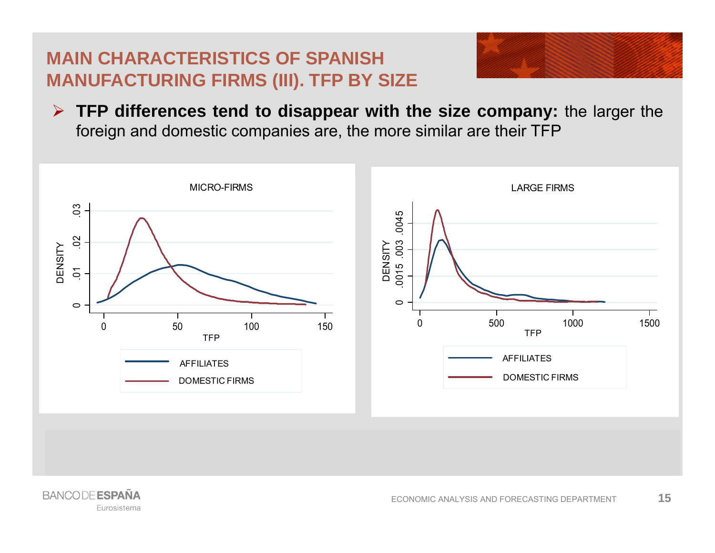### **MAIN CHARACTERISTICS OF SPANISHMANUFACTURING FIRMS (III). TFP BY SIZE**



 **TFP differences tend to disappear with the size company:** the larger the foreign and domestic companies are, the more similar are their TFP



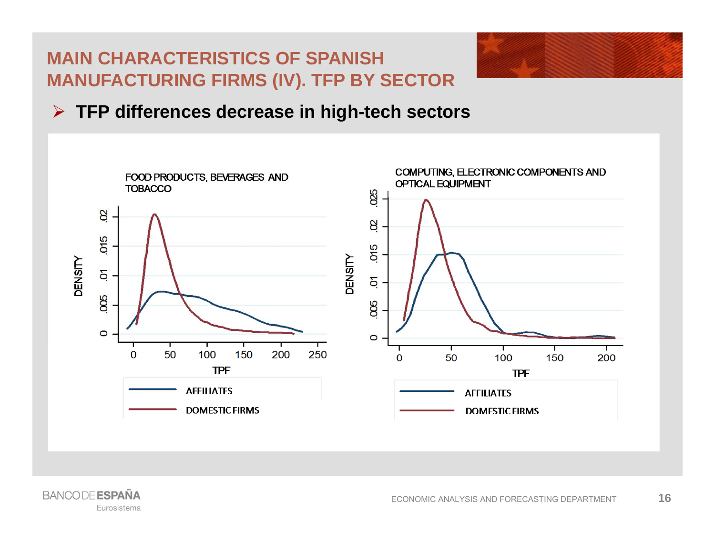### **MAIN CHARACTERISTICS OF SPANISHMANUFACTURING FIRMS (IV). TFP BY SECTOR**



### **TFP differences decrease in high-tech sectors**



**BANCODE ESPAÑA** Eurosistema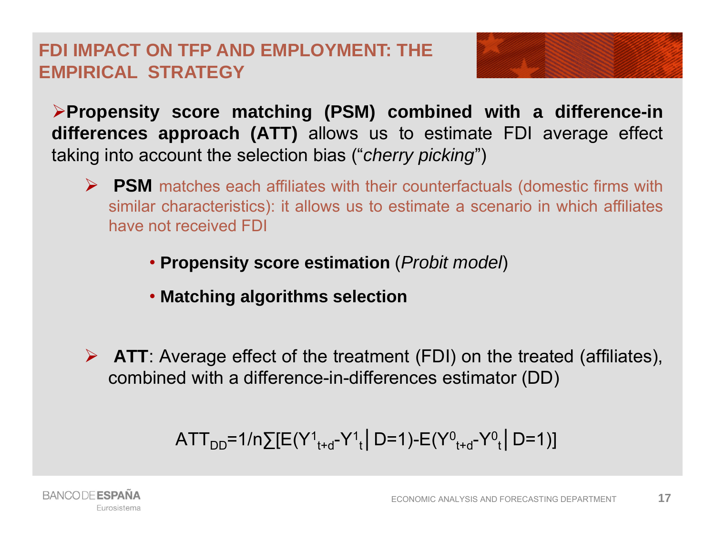### **FDI IMPACT ON TFP AND EMPLOYMENT: THEEMPIRICAL STRATEGY**

**Propensity score matching (PSM) combined with <sup>a</sup> difference-in differences approach (ATT)** allows us to estimate FDI average effect taking into account the selection bias ("*cherry picking*")

- **PSM** matches each affiliates with their counterfactuals (domestic firms with similar characteristics): it allows us to estimate <sup>a</sup> scenario in which affiliates have not received FDI
	- **Propensity score estimation** (*Probit model*)
	- **Matching algorithms selection**
- **ATT**: Average effect of the treatment (FDI) on the treated (affiliates), combined with <sup>a</sup> difference-in-differences estimator (DD)

$$
{\sf ATT}_{DD} = 1/n \sum [E(Y^1_{t+d} - Y^1_{t} \mid D=1) - E(Y^0_{t+d} - Y^0_{t} \mid D=1)]
$$

**17**

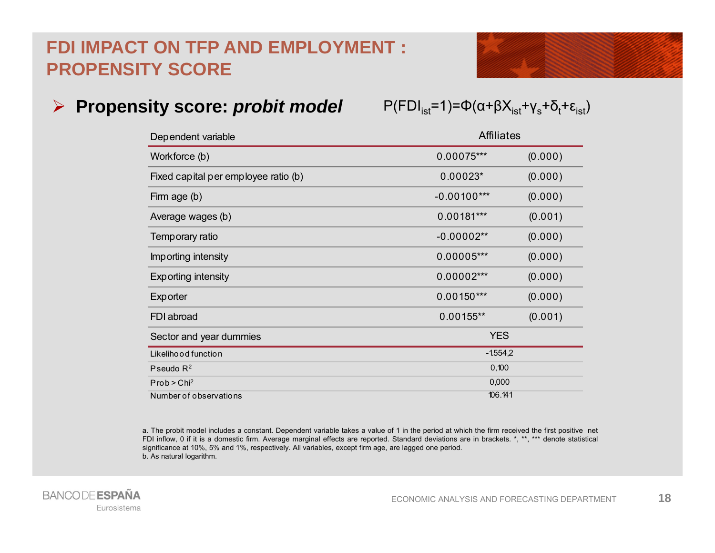### **FDI IMPACT ON TFP AND EMPLOYMENT : PROPENSITY SCORE**



| Dependent variable                   |               | <b>Affiliates</b> |  |  |
|--------------------------------------|---------------|-------------------|--|--|
| Workforce (b)                        | $0.00075***$  | (0.000)           |  |  |
| Fixed capital per employee ratio (b) | $0.00023*$    | (0.000)           |  |  |
| Firm age (b)                         | $-0.00100***$ | (0.000)           |  |  |
| Average wages (b)                    | $0.00181***$  | (0.001)           |  |  |
| Temporary ratio                      | $-0.00002**$  | (0.000)           |  |  |
| Importing intensity                  | $0.00005***$  | (0.000)           |  |  |
| <b>Exporting intensity</b>           | $0.00002***$  | (0.000)           |  |  |
| Exporter                             | $0.00150***$  | (0.000)           |  |  |
| FDI abroad                           | $0.00155**$   | (0.001)           |  |  |
| Sector and year dummies              | <b>YES</b>    |                   |  |  |
| Likelihood function                  | $-1554,2$     |                   |  |  |
| Pseudo $R^2$                         | 0,100         |                   |  |  |
| Prob > Chi <sup>2</sup>              | 0,000         |                   |  |  |
| Number of observations               | 106.141       |                   |  |  |

a. The probit model includes <sup>a</sup> constant. Dependent variable takes <sup>a</sup> value of 1 in the period at which the firm received the first positive net FDI inflow, 0 if it is <sup>a</sup> domestic firm. Average marginal effects are reported. Standard deviations are in brackets. \*, \*\*, \*\*\* denote statistical significance at 10%, 5% and 1%, respectively. All variables, except firm age, are lagged one period. b. As natural logarithm.

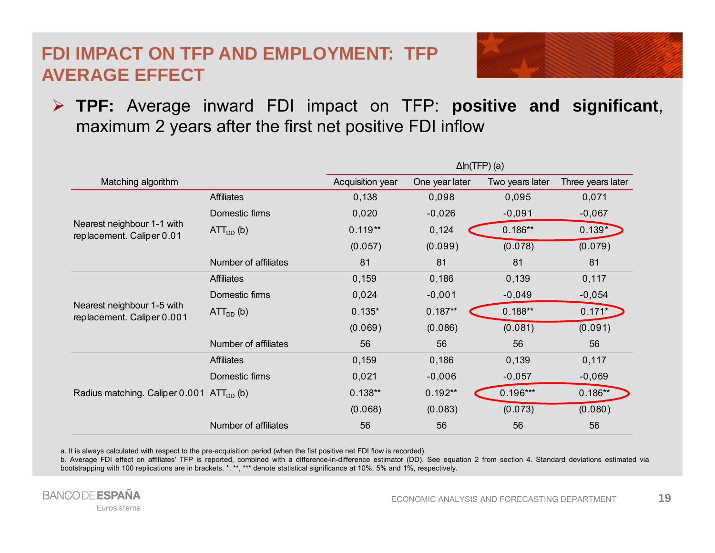### **FDI IMPACT ON TFP AND EMPLOYMENT: TFP AVERAGE EFFECT**



 **TPF:** Average inward FDI impact on TFP: **positive and significant**, maximum 2 years after the first net positive FDI inflow

|                                                          |                      | $\Delta$ ln(TFP) (a) |                |                 |                   |
|----------------------------------------------------------|----------------------|----------------------|----------------|-----------------|-------------------|
| Matching algorithm                                       |                      | Acquisition year     | One year later | Two years later | Three years later |
| Nearest neighbour 1-1 with<br>replacement. Caliper 0.01  | <b>Affiliates</b>    | 0,138                | 0,098          | 0,095           | 0,071             |
|                                                          | Domestic firms       | 0,020                | $-0,026$       | $-0,091$        | $-0,067$          |
|                                                          | $ATTDD$ (b)          | $0.119**$            | 0,124          | $0.186**$       | $0.139*$          |
|                                                          |                      | (0.057)              | (0.099)        | (0.078)         | (0.079)           |
|                                                          | Number of affiliates | 81                   | 81             | 81              | 81                |
| Nearest neighbour 1-5 with<br>replacement. Caliper 0.001 | <b>Affiliates</b>    | 0,159                | 0,186          | 0,139           | 0,117             |
|                                                          | Domestic firms       | 0,024                | $-0,001$       | $-0,049$        | $-0,054$          |
|                                                          | $ATTDD$ (b)          | $0.135*$             | $0.187**$      | $0.188**$       | $0.171*$          |
|                                                          |                      | (0.069)              | (0.086)        | (0.081)         | (0.091)           |
|                                                          | Number of affiliates | 56                   | 56             | 56              | 56                |
| Radius matching. Caliper $0.001$ ATT <sub>DD</sub> (b)   | <b>Affiliates</b>    | 0,159                | 0,186          | 0,139           | 0,117             |
|                                                          | Domestic firms       | 0,021                | $-0,006$       | $-0,057$        | $-0,069$          |
|                                                          |                      | $0.138**$            | $0.192**$      | $0.196***$      | $0.186**$         |
|                                                          |                      | (0.068)              | (0.083)        | (0.073)         | (0.080)           |
|                                                          | Number of affiliates | 56                   | 56             | 56              | 56                |

a. It is always calculated with respect to the pre-acquisition period (when the fist positive net FDI flow is recorded).

b. Average FDI effect on affiliates' TFP is reported, combined with a difference-in-difference estimator (DD). See equation 2 from section 4. Standard deviations estimated via bootstrapping with 100 replications are in brackets. \*, \*\*, \*\*\* denote statistical significance at 10%, 5% and 1%, respectively.

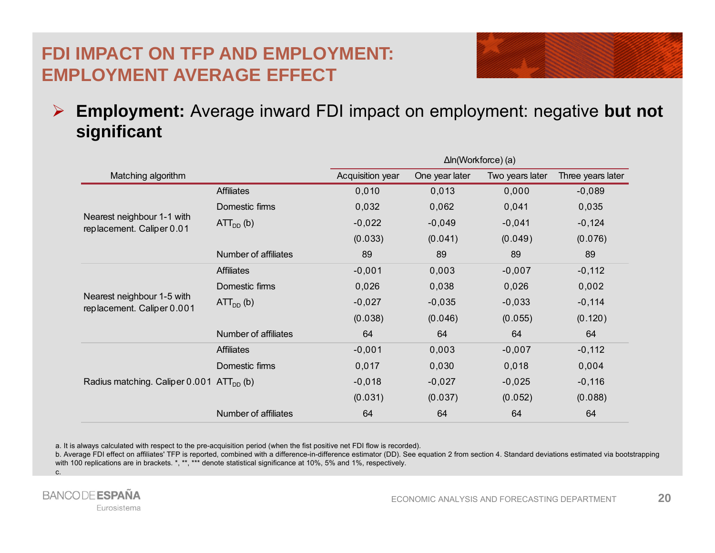### **FDI IMPACT ON TFP AND EMPLOYMENT: EMPLOYMENT AVERAGE EFFECT**



 $\blacktriangleright$  **Employment:** Average inward FDI impact on employment: negative **but not significant**

|                                                          |                      | $\Delta$ In(Workforce) (a) |                |                 |                   |
|----------------------------------------------------------|----------------------|----------------------------|----------------|-----------------|-------------------|
| Matching algorithm                                       |                      | Acquisition year           | One year later | Two years later | Three years later |
| Nearest neighbour 1-1 with<br>replacement. Caliper 0.01  | <b>Affiliates</b>    | 0,010                      | 0,013          | 0,000           | $-0,089$          |
|                                                          | Domestic firms       | 0,032                      | 0,062          | 0,041           | 0,035             |
|                                                          | $ATTDD$ (b)          | $-0,022$                   | $-0,049$       | $-0,041$        | $-0,124$          |
|                                                          |                      | (0.033)                    | (0.041)        | (0.049)         | (0.076)           |
|                                                          | Number of affiliates | 89                         | 89             | 89              | 89                |
| Nearest neighbour 1-5 with<br>replacement. Caliper 0.001 | <b>Affiliates</b>    | $-0,001$                   | 0,003          | $-0,007$        | $-0,112$          |
|                                                          | Domestic firms       | 0,026                      | 0,038          | 0,026           | 0,002             |
|                                                          | $ATTDD$ (b)          | $-0,027$                   | $-0,035$       | $-0,033$        | $-0,114$          |
|                                                          |                      | (0.038)                    | (0.046)        | (0.055)         | (0.120)           |
|                                                          | Number of affiliates | 64                         | 64             | 64              | 64                |
| Radius matching. Caliper $0.001$ ATT <sub>DD</sub> (b)   | <b>Affiliates</b>    | $-0,001$                   | 0,003          | $-0,007$        | $-0,112$          |
|                                                          | Domestic firms       | 0,017                      | 0,030          | 0,018           | 0,004             |
|                                                          |                      | $-0,018$                   | $-0,027$       | $-0,025$        | $-0,116$          |
|                                                          |                      | (0.031)                    | (0.037)        | (0.052)         | (0.088)           |
|                                                          | Number of affiliates | 64                         | 64             | 64              | 64                |

a. It is always calculated with respect to the pre-acquisition period (when the fist positive net FDI flow is recorded).

b. Average FDI effect on affiliates' TFP is reported, combined with <sup>a</sup> difference-in-difference estimator (DD). See equation 2 from section 4. Standard deviations estimated via bootstrapping with 100 replications are in brackets. \*, \*\*, \*\*\* denote statistical significance at 10%, 5% and 1%, respectively. c.

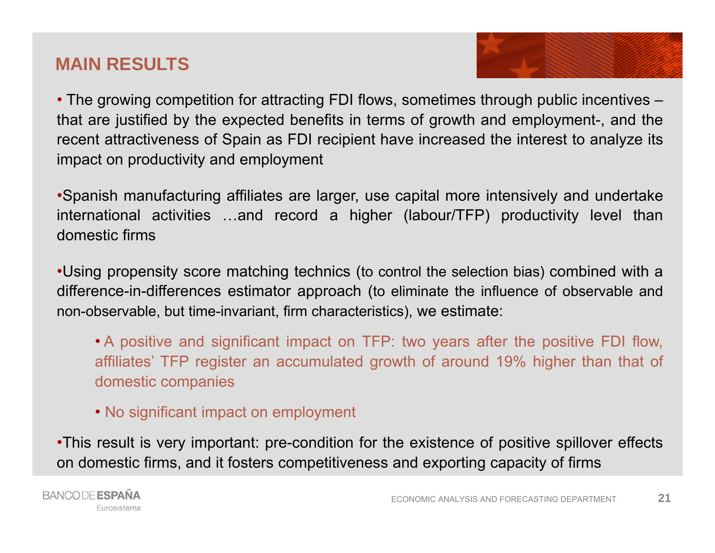### **MAIN RESULTS**

• The growing competition for attracting FDI flows, sometimes through public incentives – that are justified by the expected benefits in terms of growth and employment-, and the recent attractiveness of Spain as FDI recipient have increased the interest to analyze its impact on productivity and employment

•Spanish manufacturing affiliates are larger, use capital more intensively and undertake international activities …and record <sup>a</sup> higher (labour/TFP) productivity level than domestic firms

•Using propensity score matching technics (to control the selection bias) combined with <sup>a</sup> difference-in-differences estimator approach (to eliminate the influence of observable and non-observable, but time-invariant, firm characteristics), we estimate:

• A positive and significant impact on TFP: two years after the positive FDI flow, affiliates' TFP register an accumulated growth of around 19% higher than that of domestic companies

• No significant impact on employment

•This result is very important: pre-condition for the existence of positive spillover effects on domestic firms, and it fosters competitiveness and exporting capacity of firms